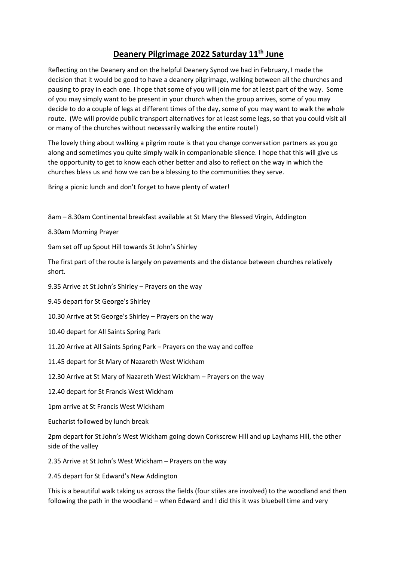## **Deanery Pilgrimage 2022 Saturday 11th June**

Reflecting on the Deanery and on the helpful Deanery Synod we had in February, I made the decision that it would be good to have a deanery pilgrimage, walking between all the churches and pausing to pray in each one. I hope that some of you will join me for at least part of the way. Some of you may simply want to be present in your church when the group arrives, some of you may decide to do a couple of legs at different times of the day, some of you may want to walk the whole route. (We will provide public transport alternatives for at least some legs, so that you could visit all or many of the churches without necessarily walking the entire route!)

The lovely thing about walking a pilgrim route is that you change conversation partners as you go along and sometimes you quite simply walk in companionable silence. I hope that this will give us the opportunity to get to know each other better and also to reflect on the way in which the churches bless us and how we can be a blessing to the communities they serve.

Bring a picnic lunch and don't forget to have plenty of water!

8am – 8.30am Continental breakfast available at St Mary the Blessed Virgin, Addington

8.30am Morning Prayer

9am set off up Spout Hill towards St John's Shirley

The first part of the route is largely on pavements and the distance between churches relatively short.

- 9.35 Arrive at St John's Shirley Prayers on the way
- 9.45 depart for St George's Shirley
- 10.30 Arrive at St George's Shirley Prayers on the way
- 10.40 depart for All Saints Spring Park
- 11.20 Arrive at All Saints Spring Park Prayers on the way and coffee
- 11.45 depart for St Mary of Nazareth West Wickham
- 12.30 Arrive at St Mary of Nazareth West Wickham Prayers on the way
- 12.40 depart for St Francis West Wickham

1pm arrive at St Francis West Wickham

Eucharist followed by lunch break

2pm depart for St John's West Wickham going down Corkscrew Hill and up Layhams Hill, the other side of the valley

2.35 Arrive at St John's West Wickham – Prayers on the way

2.45 depart for St Edward's New Addington

This is a beautiful walk taking us across the fields (four stiles are involved) to the woodland and then following the path in the woodland – when Edward and I did this it was bluebell time and very